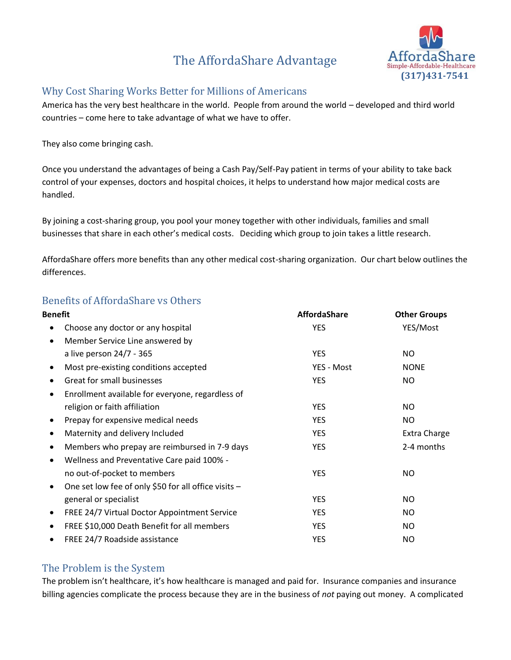# The AffordaShare Advantage



## Why Cost Sharing Works Better for Millions of Americans

America has the very best healthcare in the world. People from around the world – developed and third world countries – come here to take advantage of what we have to offer.

They also come bringing cash.

Once you understand the advantages of being a Cash Pay/Self-Pay patient in terms of your ability to take back control of your expenses, doctors and hospital choices, it helps to understand how major medical costs are handled.

By joining a cost-sharing group, you pool your money together with other individuals, families and small businesses that share in each other's medical costs. Deciding which group to join takes a little research.

AffordaShare offers more benefits than any other medical cost-sharing organization. Our chart below outlines the differences.

### Benefits of AffordaShare vs Others

| Benefit                                                           | <b>AffordaShare</b> | <b>Other Groups</b> |
|-------------------------------------------------------------------|---------------------|---------------------|
| Choose any doctor or any hospital<br>٠                            | <b>YES</b>          | YES/Most            |
| Member Service Line answered by<br>$\bullet$                      |                     |                     |
| a live person 24/7 - 365                                          | <b>YES</b>          | NO.                 |
| Most pre-existing conditions accepted<br>$\bullet$                | YES - Most          | <b>NONE</b>         |
| Great for small businesses                                        | <b>YES</b>          | <b>NO</b>           |
| Enrollment available for everyone, regardless of<br>$\bullet$     |                     |                     |
| religion or faith affiliation                                     | <b>YES</b>          | NO.                 |
| Prepay for expensive medical needs<br>$\bullet$                   | <b>YES</b>          | NO.                 |
| Maternity and delivery Included                                   | <b>YES</b>          | <b>Extra Charge</b> |
| Members who prepay are reimbursed in 7-9 days<br>$\bullet$        | <b>YES</b>          | 2-4 months          |
| Wellness and Preventative Care paid 100% -<br>$\bullet$           |                     |                     |
| no out-of-pocket to members                                       | <b>YES</b>          | NO.                 |
| One set low fee of only \$50 for all office visits -<br>$\bullet$ |                     |                     |
| general or specialist                                             | <b>YES</b>          | NO.                 |
| FREE 24/7 Virtual Doctor Appointment Service<br>$\bullet$         | <b>YES</b>          | NO.                 |
| FREE \$10,000 Death Benefit for all members<br>$\bullet$          | <b>YES</b>          | NO.                 |
| FREE 24/7 Roadside assistance<br>$\bullet$                        | <b>YES</b>          | <b>NO</b>           |

### The Problem is the System

The problem isn't healthcare, it's how healthcare is managed and paid for. Insurance companies and insurance billing agencies complicate the process because they are in the business of *not* paying out money. A complicated